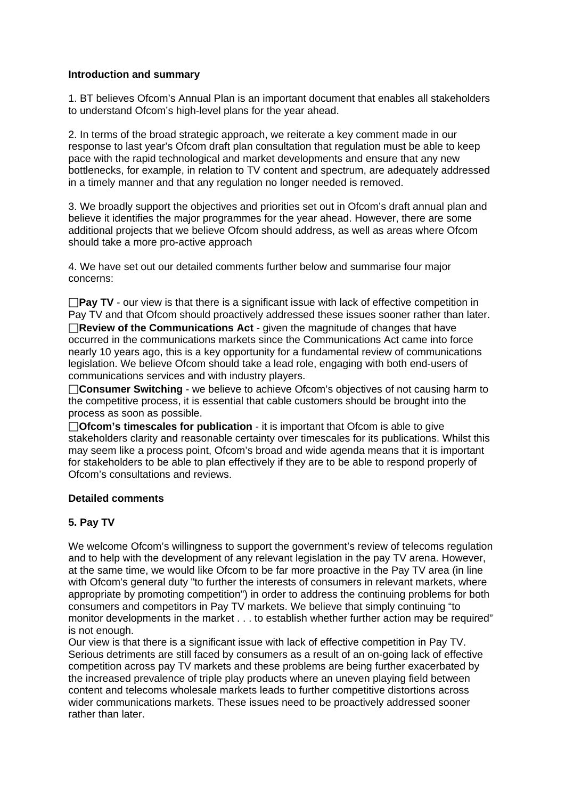#### **Introduction and summary**

1. BT believes Ofcom's Annual Plan is an important document that enables all stakeholders to understand Ofcom's high-level plans for the year ahead.

2. In terms of the broad strategic approach, we reiterate a key comment made in our response to last year's Ofcom draft plan consultation that regulation must be able to keep pace with the rapid technological and market developments and ensure that any new bottlenecks, for example, in relation to TV content and spectrum, are adequately addressed in a timely manner and that any regulation no longer needed is removed.

3. We broadly support the objectives and priorities set out in Ofcom's draft annual plan and believe it identifies the major programmes for the year ahead. However, there are some additional projects that we believe Ofcom should address, as well as areas where Ofcom should take a more pro-active approach

4. We have set out our detailed comments further below and summarise four major concerns:

**Pay TV** - our view is that there is a significant issue with lack of effective competition in Pay TV and that Ofcom should proactively addressed these issues sooner rather than later. **Review of the Communications Act** - given the magnitude of changes that have occurred in the communications markets since the Communications Act came into force nearly 10 years ago, this is a key opportunity for a fundamental review of communications legislation. We believe Ofcom should take a lead role, engaging with both end-users of communications services and with industry players.

□ Consumer Switching - we believe to achieve Ofcom's objectives of not causing harm to the competitive process, it is essential that cable customers should be brought into the process as soon as possible.

**Ofcom's timescales for publication** - it is important that Ofcom is able to give stakeholders clarity and reasonable certainty over timescales for its publications. Whilst this may seem like a process point, Ofcom's broad and wide agenda means that it is important for stakeholders to be able to plan effectively if they are to be able to respond properly of Ofcom's consultations and reviews.

### **Detailed comments**

### **5. Pay TV**

We welcome Ofcom's willingness to support the government's review of telecoms regulation and to help with the development of any relevant legislation in the pay TV arena. However, at the same time, we would like Ofcom to be far more proactive in the Pay TV area (in line with Ofcom's general duty "to further the interests of consumers in relevant markets, where appropriate by promoting competition") in order to address the continuing problems for both consumers and competitors in Pay TV markets. We believe that simply continuing "to monitor developments in the market . . . to establish whether further action may be required" is not enough.

Our view is that there is a significant issue with lack of effective competition in Pay TV. Serious detriments are still faced by consumers as a result of an on-going lack of effective competition across pay TV markets and these problems are being further exacerbated by the increased prevalence of triple play products where an uneven playing field between content and telecoms wholesale markets leads to further competitive distortions across wider communications markets. These issues need to be proactively addressed sooner rather than later.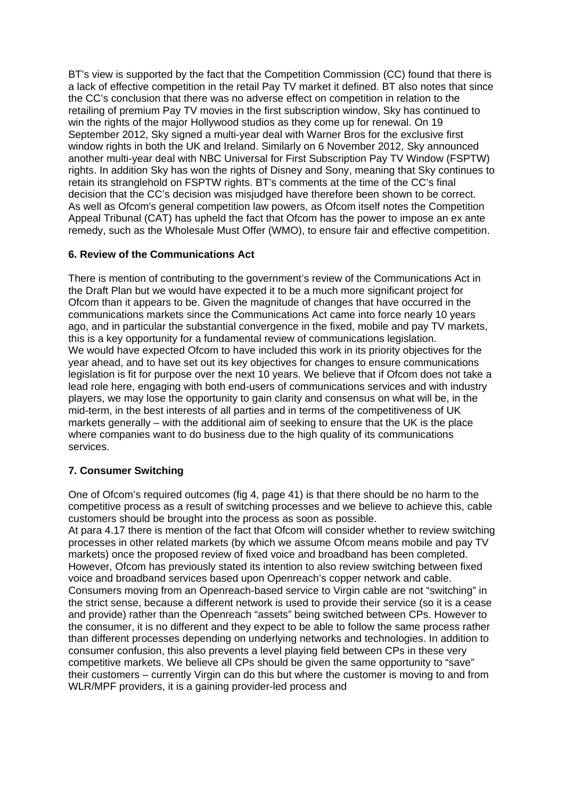BT's view is supported by the fact that the Competition Commission (CC) found that there is a lack of effective competition in the retail Pay TV market it defined. BT also notes that since the CC's conclusion that there was no adverse effect on competition in relation to the retailing of premium Pay TV movies in the first subscription window, Sky has continued to win the rights of the major Hollywood studios as they come up for renewal. On 19 September 2012, Sky signed a multi-year deal with Warner Bros for the exclusive first window rights in both the UK and Ireland. Similarly on 6 November 2012, Sky announced another multi-year deal with NBC Universal for First Subscription Pay TV Window (FSPTW) rights. In addition Sky has won the rights of Disney and Sony, meaning that Sky continues to retain its stranglehold on FSPTW rights. BT's comments at the time of the CC's final decision that the CC's decision was misjudged have therefore been shown to be correct. As well as Ofcom's general competition law powers, as Ofcom itself notes the Competition Appeal Tribunal (CAT) has upheld the fact that Ofcom has the power to impose an ex ante remedy, such as the Wholesale Must Offer (WMO), to ensure fair and effective competition.

### **6. Review of the Communications Act**

There is mention of contributing to the government's review of the Communications Act in the Draft Plan but we would have expected it to be a much more significant project for Ofcom than it appears to be. Given the magnitude of changes that have occurred in the communications markets since the Communications Act came into force nearly 10 years ago, and in particular the substantial convergence in the fixed, mobile and pay TV markets, this is a key opportunity for a fundamental review of communications legislation. We would have expected Ofcom to have included this work in its priority objectives for the year ahead, and to have set out its key objectives for changes to ensure communications legislation is fit for purpose over the next 10 years. We believe that if Ofcom does not take a lead role here, engaging with both end-users of communications services and with industry players, we may lose the opportunity to gain clarity and consensus on what will be, in the mid-term, in the best interests of all parties and in terms of the competitiveness of UK markets generally – with the additional aim of seeking to ensure that the UK is the place where companies want to do business due to the high quality of its communications services.

### **7. Consumer Switching**

One of Ofcom's required outcomes (fig 4, page 41) is that there should be no harm to the competitive process as a result of switching processes and we believe to achieve this, cable customers should be brought into the process as soon as possible.

At para 4.17 there is mention of the fact that Ofcom will consider whether to review switching processes in other related markets (by which we assume Ofcom means mobile and pay TV markets) once the proposed review of fixed voice and broadband has been completed. However, Ofcom has previously stated its intention to also review switching between fixed voice and broadband services based upon Openreach's copper network and cable. Consumers moving from an Openreach-based service to Virgin cable are not "switching" in the strict sense, because a different network is used to provide their service (so it is a cease and provide) rather than the Openreach "assets" being switched between CPs. However to the consumer, it is no different and they expect to be able to follow the same process rather than different processes depending on underlying networks and technologies. In addition to consumer confusion, this also prevents a level playing field between CPs in these very competitive markets. We believe all CPs should be given the same opportunity to "save" their customers – currently Virgin can do this but where the customer is moving to and from WLR/MPF providers, it is a gaining provider-led process and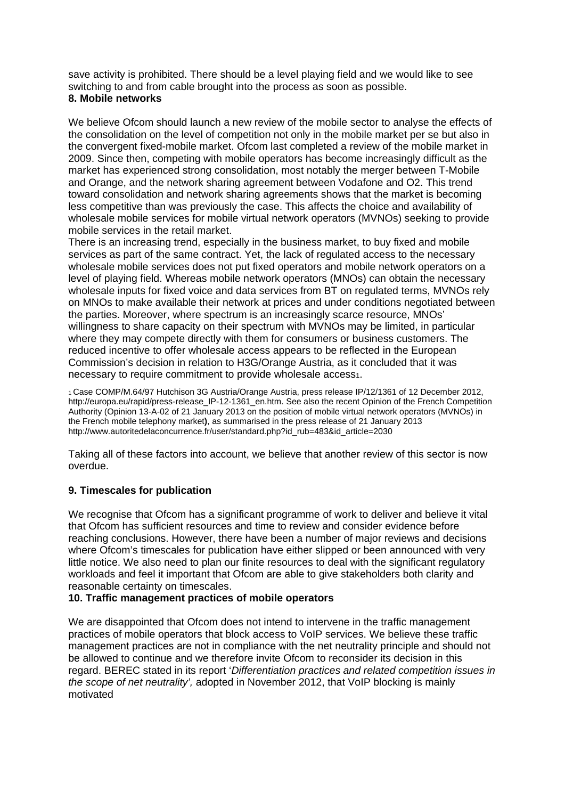save activity is prohibited. There should be a level playing field and we would like to see switching to and from cable brought into the process as soon as possible.

# **8. Mobile networks**

We believe Ofcom should launch a new review of the mobile sector to analyse the effects of the consolidation on the level of competition not only in the mobile market per se but also in the convergent fixed-mobile market. Ofcom last completed a review of the mobile market in 2009. Since then, competing with mobile operators has become increasingly difficult as the market has experienced strong consolidation, most notably the merger between T-Mobile and Orange, and the network sharing agreement between Vodafone and O2. This trend toward consolidation and network sharing agreements shows that the market is becoming less competitive than was previously the case. This affects the choice and availability of wholesale mobile services for mobile virtual network operators (MVNOs) seeking to provide mobile services in the retail market.

There is an increasing trend, especially in the business market, to buy fixed and mobile services as part of the same contract. Yet, the lack of regulated access to the necessary wholesale mobile services does not put fixed operators and mobile network operators on a level of playing field. Whereas mobile network operators (MNOs) can obtain the necessary wholesale inputs for fixed voice and data services from BT on regulated terms, MVNOs rely on MNOs to make available their network at prices and under conditions negotiated between the parties. Moreover, where spectrum is an increasingly scarce resource, MNOs' willingness to share capacity on their spectrum with MVNOs may be limited, in particular where they may compete directly with them for consumers or business customers. The reduced incentive to offer wholesale access appears to be reflected in the European Commission's decision in relation to H3G/Orange Austria, as it concluded that it was necessary to require commitment to provide wholesale access1.

1 Case COMP/M.64/97 Hutchison 3G Austria/Orange Austria, press release IP/12/1361 of 12 December 2012, http://europa.eu/rapid/press-release\_IP-12-1361\_en.htm. See also the recent Opinion of the French Competition Authority (Opinion 13-A-02 of 21 January 2013 on the position of mobile virtual network operators (MVNOs) in the French mobile telephony market**)**, as summarised in the press release of 21 January 2013 http://www.autoritedelaconcurrence.fr/user/standard.php?id\_rub=483&id\_article=2030

Taking all of these factors into account, we believe that another review of this sector is now overdue.

# **9. Timescales for publication**

We recognise that Ofcom has a significant programme of work to deliver and believe it vital that Ofcom has sufficient resources and time to review and consider evidence before reaching conclusions. However, there have been a number of major reviews and decisions where Ofcom's timescales for publication have either slipped or been announced with very little notice. We also need to plan our finite resources to deal with the significant regulatory workloads and feel it important that Ofcom are able to give stakeholders both clarity and reasonable certainty on timescales.

### **10. Traffic management practices of mobile operators**

We are disappointed that Ofcom does not intend to intervene in the traffic management practices of mobile operators that block access to VoIP services. We believe these traffic management practices are not in compliance with the net neutrality principle and should not be allowed to continue and we therefore invite Ofcom to reconsider its decision in this regard. BEREC stated in its report '*Differentiation practices and related competition issues in the scope of net neutrality',* adopted in November 2012, that VoIP blocking is mainly motivated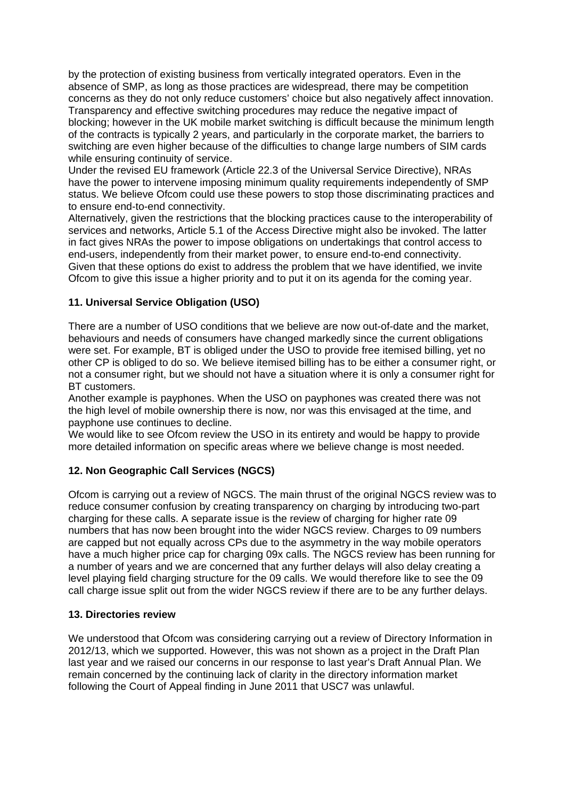by the protection of existing business from vertically integrated operators. Even in the absence of SMP, as long as those practices are widespread, there may be competition concerns as they do not only reduce customers' choice but also negatively affect innovation. Transparency and effective switching procedures may reduce the negative impact of blocking; however in the UK mobile market switching is difficult because the minimum length of the contracts is typically 2 years, and particularly in the corporate market, the barriers to switching are even higher because of the difficulties to change large numbers of SIM cards while ensuring continuity of service.

Under the revised EU framework (Article 22.3 of the Universal Service Directive), NRAs have the power to intervene imposing minimum quality requirements independently of SMP status. We believe Ofcom could use these powers to stop those discriminating practices and to ensure end-to-end connectivity.

Alternatively, given the restrictions that the blocking practices cause to the interoperability of services and networks, Article 5.1 of the Access Directive might also be invoked. The latter in fact gives NRAs the power to impose obligations on undertakings that control access to end-users, independently from their market power, to ensure end-to-end connectivity. Given that these options do exist to address the problem that we have identified, we invite Ofcom to give this issue a higher priority and to put it on its agenda for the coming year.

### **11. Universal Service Obligation (USO)**

There are a number of USO conditions that we believe are now out-of-date and the market, behaviours and needs of consumers have changed markedly since the current obligations were set. For example, BT is obliged under the USO to provide free itemised billing, yet no other CP is obliged to do so. We believe itemised billing has to be either a consumer right, or not a consumer right, but we should not have a situation where it is only a consumer right for BT customers.

Another example is payphones. When the USO on payphones was created there was not the high level of mobile ownership there is now, nor was this envisaged at the time, and payphone use continues to decline.

We would like to see Ofcom review the USO in its entirety and would be happy to provide more detailed information on specific areas where we believe change is most needed.

### **12. Non Geographic Call Services (NGCS)**

Ofcom is carrying out a review of NGCS. The main thrust of the original NGCS review was to reduce consumer confusion by creating transparency on charging by introducing two-part charging for these calls. A separate issue is the review of charging for higher rate 09 numbers that has now been brought into the wider NGCS review. Charges to 09 numbers are capped but not equally across CPs due to the asymmetry in the way mobile operators have a much higher price cap for charging 09x calls. The NGCS review has been running for a number of years and we are concerned that any further delays will also delay creating a level playing field charging structure for the 09 calls. We would therefore like to see the 09 call charge issue split out from the wider NGCS review if there are to be any further delays.

#### **13. Directories review**

We understood that Ofcom was considering carrying out a review of Directory Information in 2012/13, which we supported. However, this was not shown as a project in the Draft Plan last year and we raised our concerns in our response to last year's Draft Annual Plan. We remain concerned by the continuing lack of clarity in the directory information market following the Court of Appeal finding in June 2011 that USC7 was unlawful.